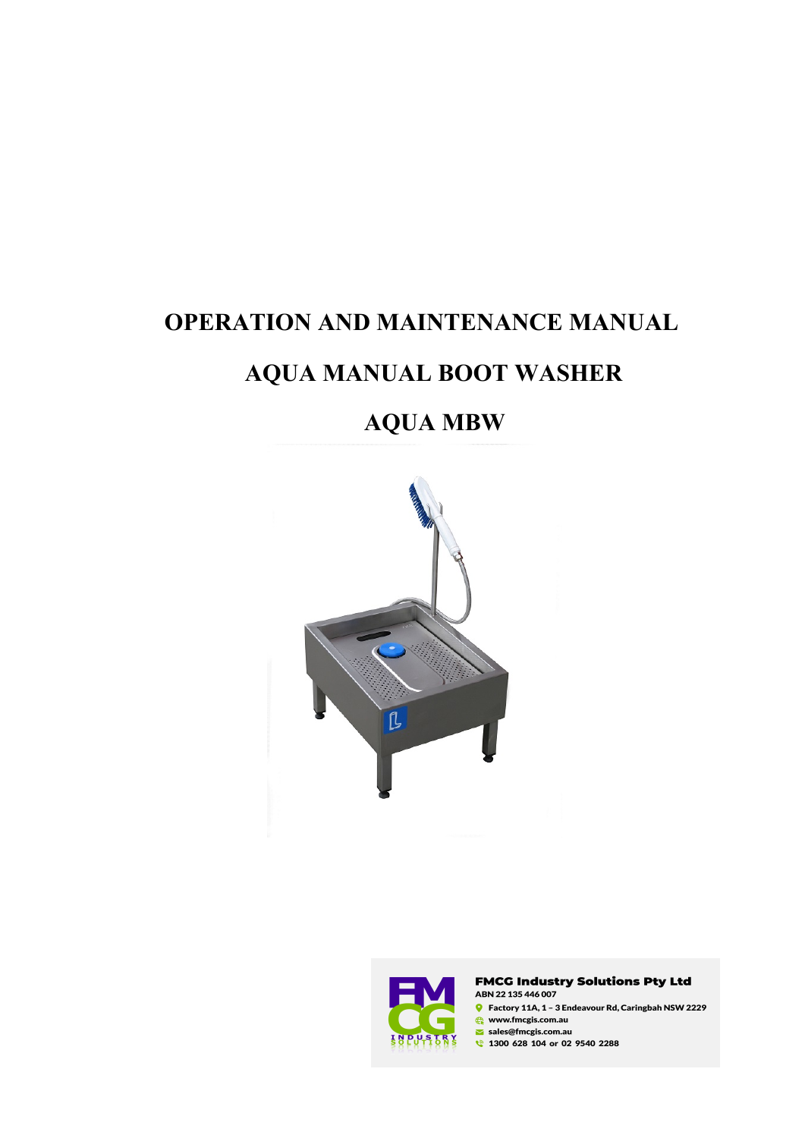# **OPERATION AND MAINTENANCE MANUAL**

# **AQUA MANUAL BOOT WASHER**

# **AQUA MBW**





**FMCG Industry Solutions Pty Ltd** ABN 22 135 446 007  $\bullet$  Factory 11A, 1 - 3 Endeavour Rd, Caringbah NSW 2229 www.fmcgis.com.au sales@fmcgis.com.au 1300 628 104 or 02 9540 2288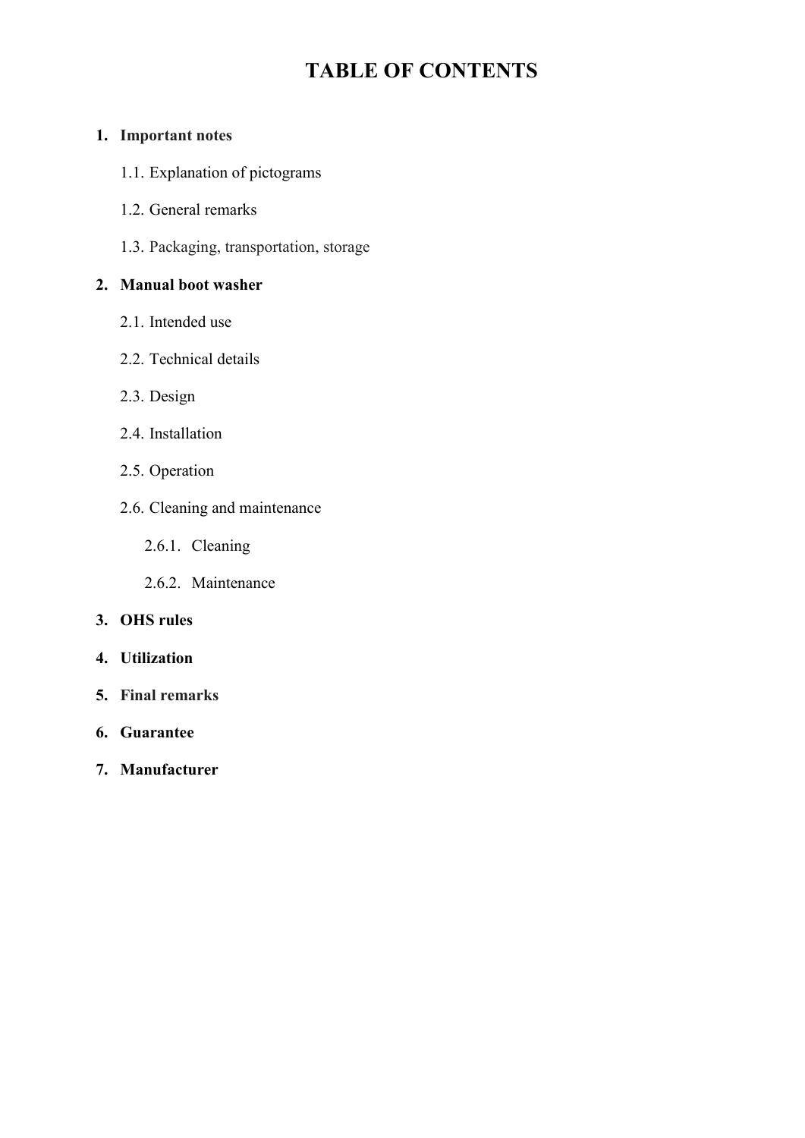# **TABLE OF CONTENTS**

## **1. Important notes**

- 1.1. Explanation of pictograms
- 1.2. General remarks
- 1.3. Packaging, transportation, storage

# **2. Manual boot washer**

- 2.1. Intended use
- 2.2. Technical details
- 2.3. Design
- 2.4. Installation
- 2.5. Operation
- 2.6. Cleaning and maintenance
	- 2.6.1. Cleaning
	- 2.6.2. Maintenance

## **3. OHS rules**

- **4. Utilization**
- **5. Final remarks**
- **6. Guarantee**
- **7. Manufacturer**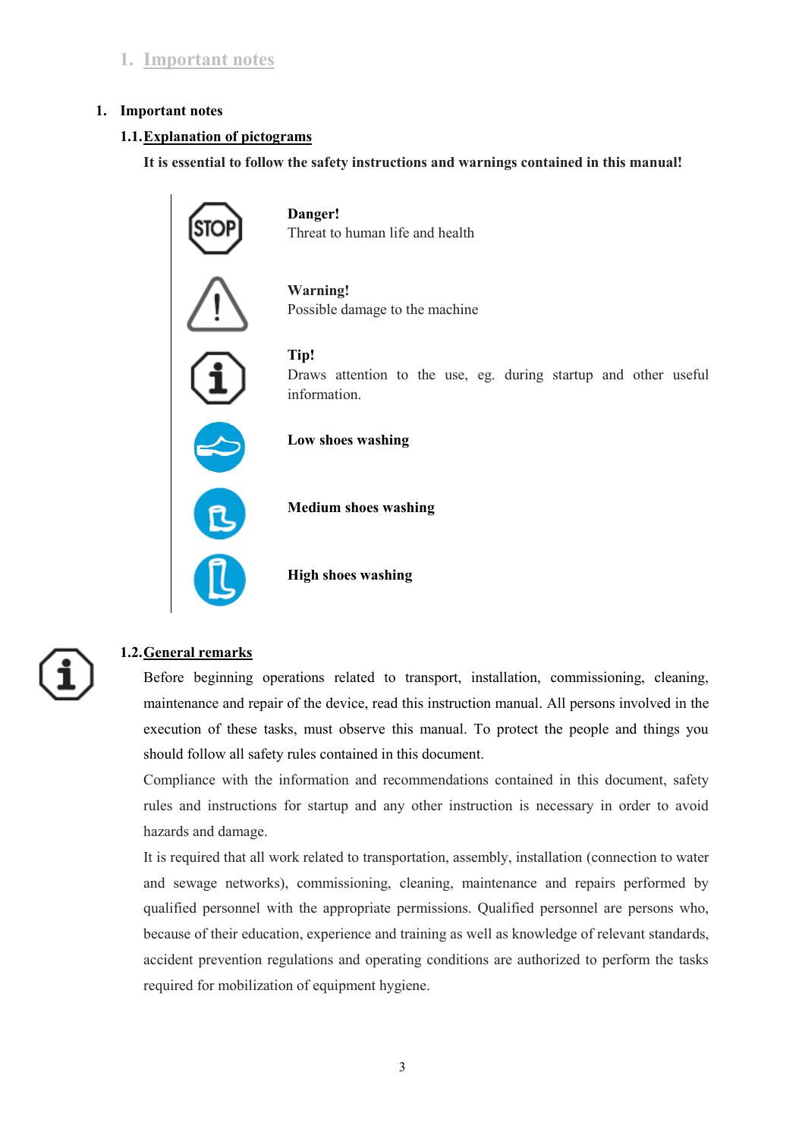# **1. Important notes**

#### **1. Important notes**

#### **1.1.Explanation of pictograms**

**It is essential to follow the safety instructions and warnings contained in this manual!**



**Danger!**  Threat to human life and health

**Warning!** Possible damage to the machine

**Tip!** 

Draws attention to the use, eg. during startup and other useful information.

**Low shoes washing** 

 **Medium shoes washing**

 **High shoes washing** 

# **1.2.General remarks**

Before beginning operations related to transport, installation, commissioning, cleaning, maintenance and repair of the device, read this instruction manual. All persons involved in the execution of these tasks, must observe this manual. To protect the people and things you should follow all safety rules contained in this document.

Compliance with the information and recommendations contained in this document, safety rules and instructions for startup and any other instruction is necessary in order to avoid hazards and damage.

It is required that all work related to transportation, assembly, installation (connection to water and sewage networks), commissioning, cleaning, maintenance and repairs performed by qualified personnel with the appropriate permissions. Qualified personnel are persons who, because of their education, experience and training as well as knowledge of relevant standards, accident prevention regulations and operating conditions are authorized to perform the tasks required for mobilization of equipment hygiene.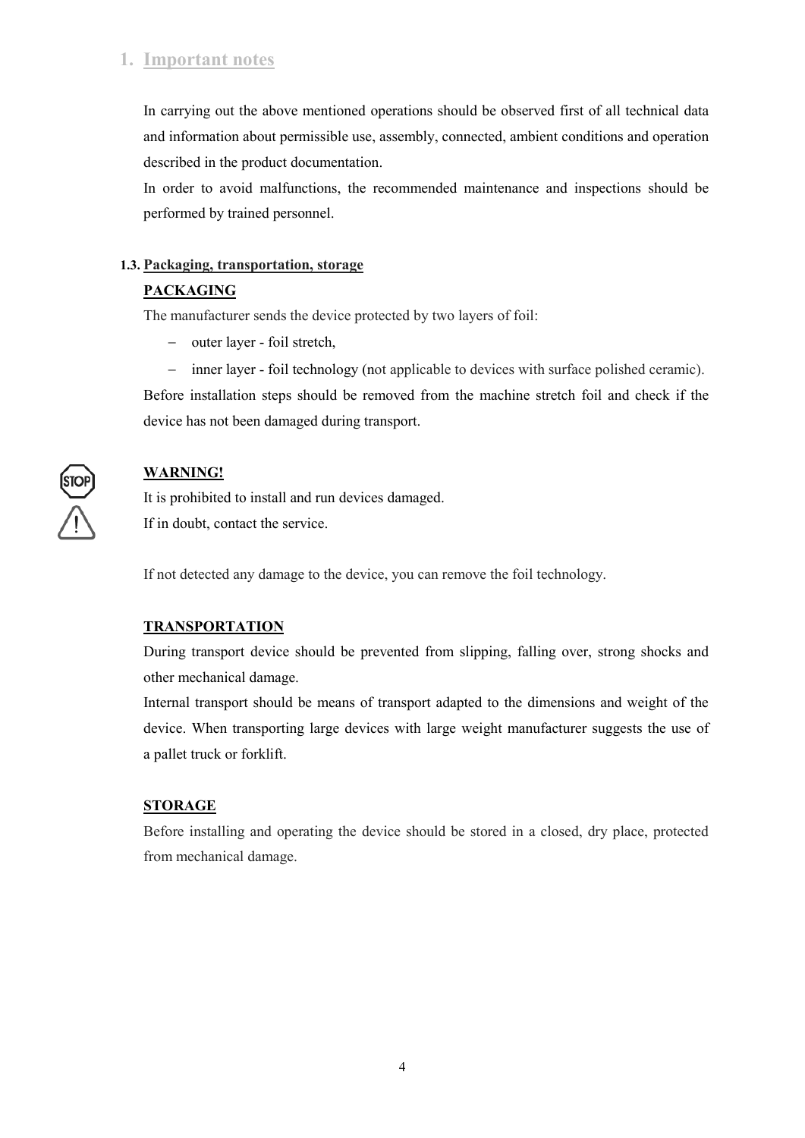# **1. Important notes**

In carrying out the above mentioned operations should be observed first of all technical data and information about permissible use, assembly, connected, ambient conditions and operation described in the product documentation.

In order to avoid malfunctions, the recommended maintenance and inspections should be performed by trained personnel.

## **1.3. Packaging, transportation, storage**

# **PACKAGING**

The manufacturer sends the device protected by two layers of foil:

- outer layer foil stretch,
- inner layer foil technology (not applicable to devices with surface polished ceramic).

Before installation steps should be removed from the machine stretch foil and check if the device has not been damaged during transport.

# **WARNING!**

It is prohibited to install and run devices damaged. If in doubt, contact the service.

If not detected any damage to the device, you can remove the foil technology.

## **TRANSPORTATION**

During transport device should be prevented from slipping, falling over, strong shocks and other mechanical damage.

Internal transport should be means of transport adapted to the dimensions and weight of the device. When transporting large devices with large weight manufacturer suggests the use of a pallet truck or forklift.

# **STORAGE**

Before installing and operating the device should be stored in a closed, dry place, protected from mechanical damage.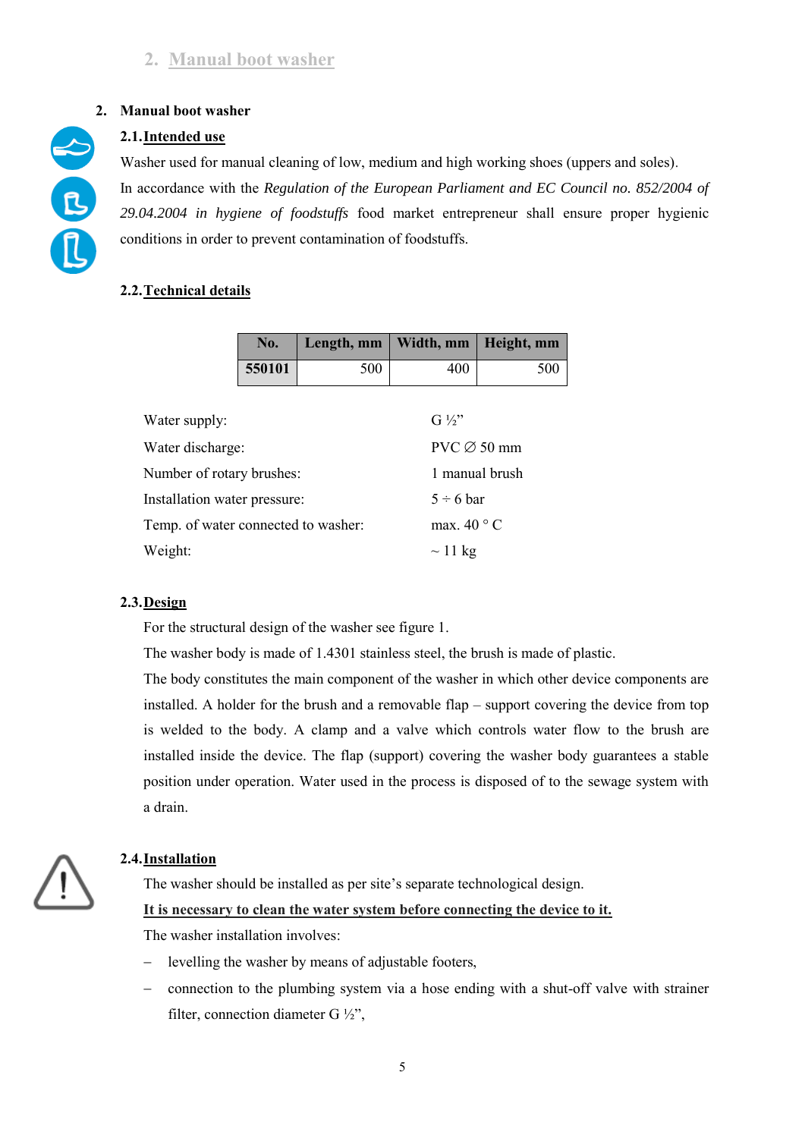# **2. Manual boot washer**

# **2.1.Intended use**

Washer used for manual cleaning of low, medium and high working shoes (uppers and soles). In accordance with the *Regulation of the European Parliament and EC Council no. 852/2004 of 29.04.2004 in hygiene of foodstuffs* food market entrepreneur shall ensure proper hygienic conditions in order to prevent contamination of foodstuffs.

# **2.2.Technical details**

|                                     | No.    | Length, mm | Width, mm           | Height, mm     |  |
|-------------------------------------|--------|------------|---------------------|----------------|--|
|                                     | 550101 | 500        | 400                 | 500            |  |
|                                     |        |            |                     |                |  |
| Water supply:                       |        |            | $G\frac{1}{2}$      |                |  |
| Water discharge:                    |        |            | $PVC \oslash 50$ mm |                |  |
| Number of rotary brushes:           |        |            | 1 manual brush      |                |  |
| Installation water pressure:        |        |            |                     | $5 \div 6$ bar |  |
| Temp. of water connected to washer: |        |            | max. $40^{\circ}$ C |                |  |
| Weight:                             |        |            | $\sim$ 11 kg        |                |  |

## **2.3.Design**

For the structural design of the washer see figure 1.

The washer body is made of 1.4301 stainless steel, the brush is made of plastic.

The body constitutes the main component of the washer in which other device components are installed. A holder for the brush and a removable flap – support covering the device from top is welded to the body. A clamp and a valve which controls water flow to the brush are installed inside the device. The flap (support) covering the washer body guarantees a stable position under operation. Water used in the process is disposed of to the sewage system with a drain.

# **2.4.Installation**

The washer should be installed as per site's separate technological design.

#### **It is necessary to clean the water system before connecting the device to it.**

The washer installation involves:

- levelling the washer by means of adjustable footers,
- connection to the plumbing system via a hose ending with a shut-off valve with strainer filter, connection diameter G ½",

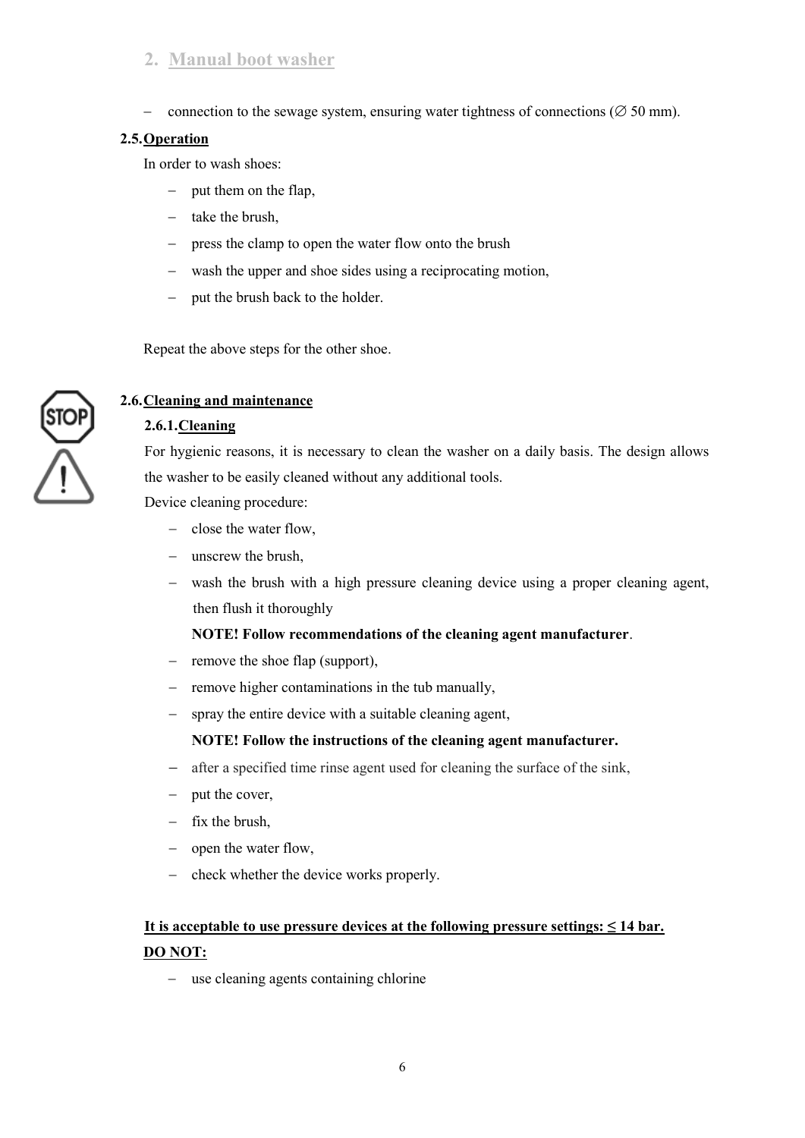# **2. Manual boot washer**

- connection to the sewage system, ensuring water tightness of connections ( $\varnothing$  50 mm).

#### **2.5.Operation**

In order to wash shoes:

- put them on the flap,
- $-$  take the brush,
- press the clamp to open the water flow onto the brush
- wash the upper and shoe sides using a reciprocating motion,
- put the brush back to the holder.

Repeat the above steps for the other shoe.



# **2.6.Cleaning and maintenance**

## **2.6.1.Cleaning**

For hygienic reasons, it is necessary to clean the washer on a daily basis. The design allows the washer to be easily cleaned without any additional tools.

Device cleaning procedure:

- $\sim$  close the water flow,
- unscrew the brush.
- wash the brush with a high pressure cleaning device using a proper cleaning agent, then flush it thoroughly

#### **NOTE! Follow recommendations of the cleaning agent manufacturer**.

- $-$  remove the shoe flap (support),
- $-$  remove higher contaminations in the tub manually,
- spray the entire device with a suitable cleaning agent,

#### **NOTE! Follow the instructions of the cleaning agent manufacturer.**

- after a specified time rinse agent used for cleaning the surface of the sink,
- $-$  put the cover,
- $-$  fix the brush.
- open the water flow,
- check whether the device works properly.

# **It is acceptable to use pressure devices at the following pressure settings: ≤ 14 bar. DO NOT:**

- use cleaning agents containing chlorine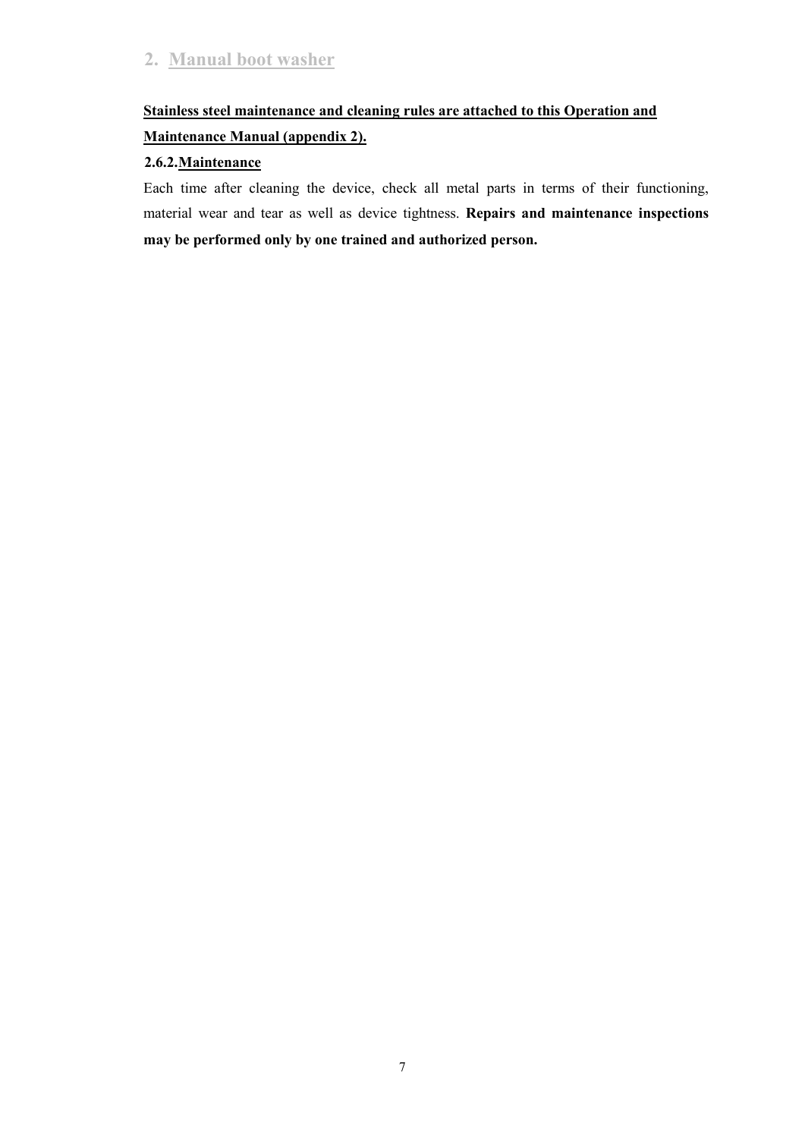# **Stainless steel maintenance and cleaning rules are attached to this Operation and Maintenance Manual (appendix 2).**

# **2.6.2.Maintenance**

Each time after cleaning the device, check all metal parts in terms of their functioning, material wear and tear as well as device tightness. **Repairs and maintenance inspections may be performed only by one trained and authorized person.**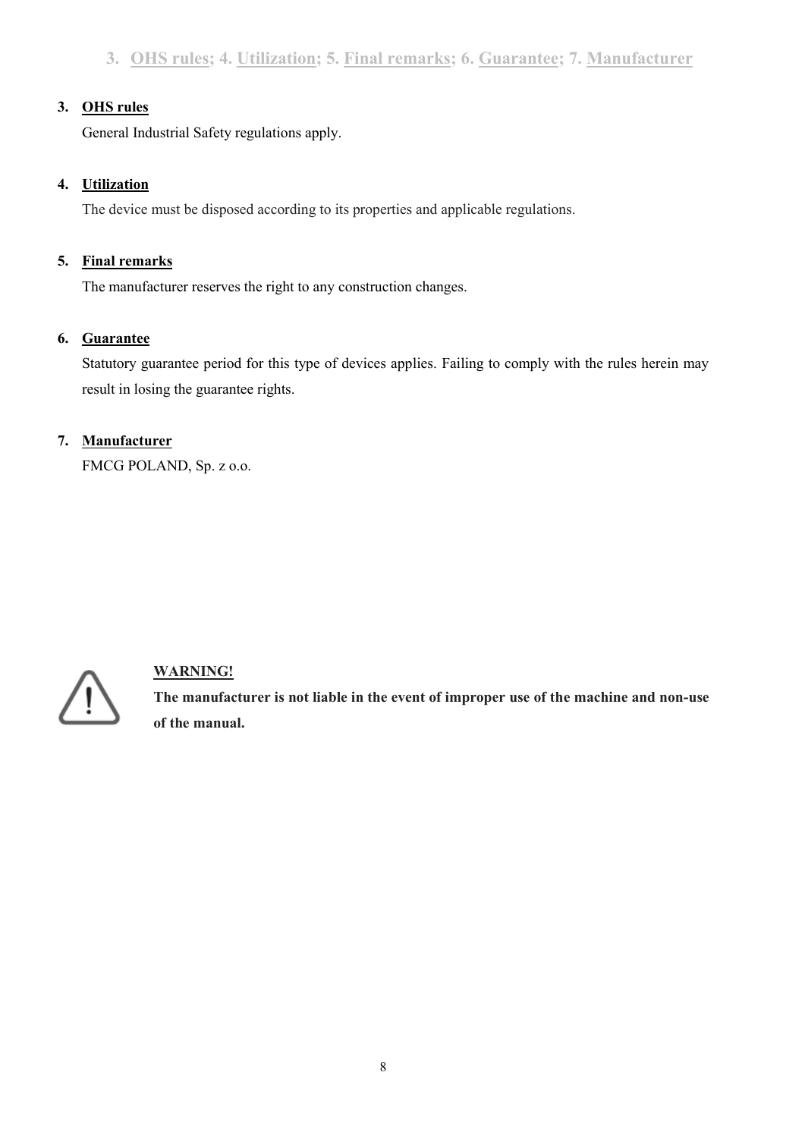# **3. OHS rules**

General Industrial Safety regulations apply.

# **4. Utilization**

The device must be disposed according to its properties and applicable regulations.

# **5. Final remarks**

The manufacturer reserves the right to any construction changes.

# **6. Guarantee**

Statutory guarantee period for this type of devices applies. Failing to comply with the rules herein may result in losing the guarantee rights.

# **7. Manufacturer**

FMCG POLAND, Sp. z o.o.



# **WARNING!**

**The manufacturer is not liable in the event of improper use of the machine and non-use of the manual.**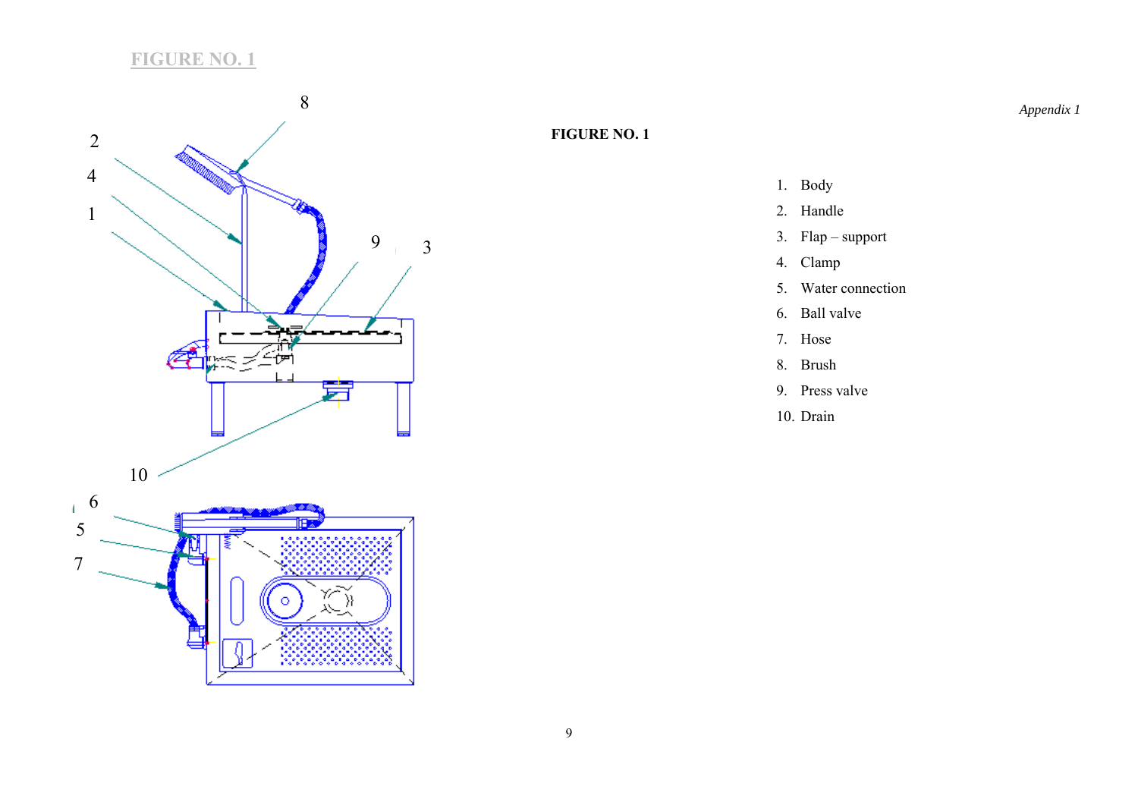# **FIGURE NO. 1**



# **FIGURE NO. 1**

- 1. Body
- 2. Handle
- 3. Flap support
- 4. Clamp
- 5. Water connection
- 6. Ball valve
- 7. Hose
- 8. Brush
- 9. Press valve
- 10. Drain

*Appendix 1*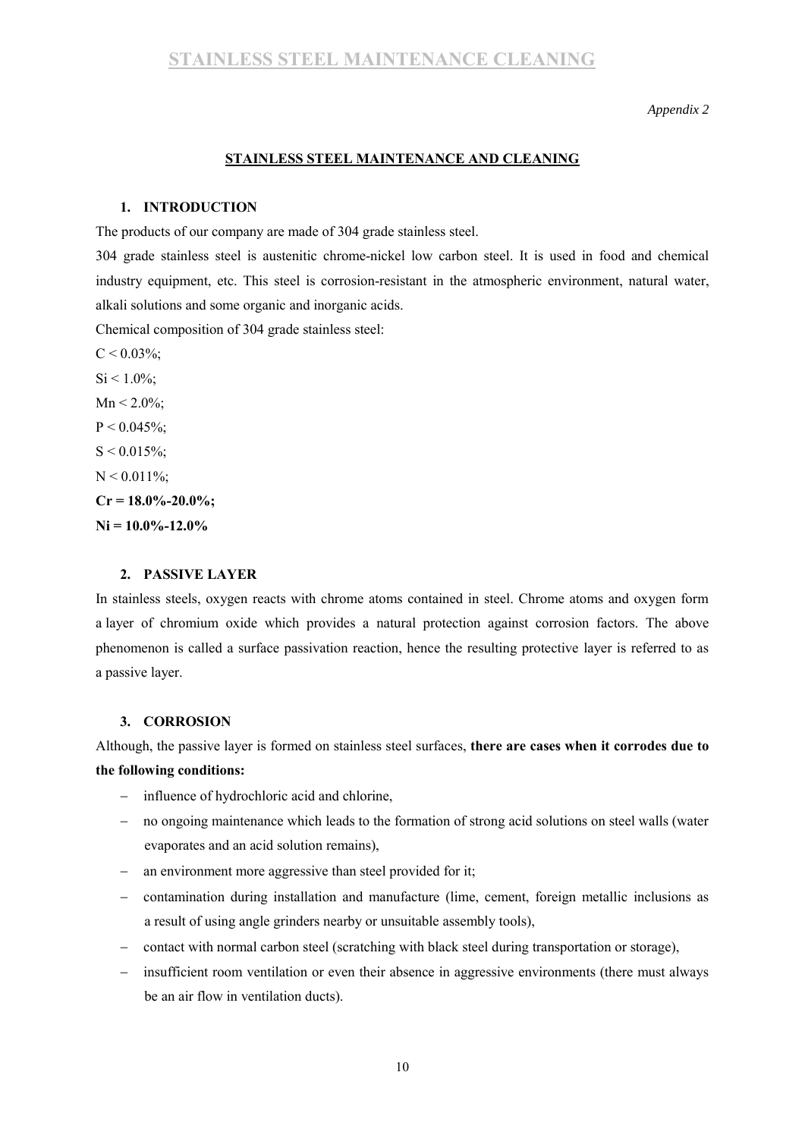*Appendix 2* 

#### **STAINLESS STEEL MAINTENANCE AND CLEANING**

#### **1. INTRODUCTION**

The products of our company are made of 304 grade stainless steel.

304 grade stainless steel is austenitic chrome-nickel low carbon steel. It is used in food and chemical industry equipment, etc. This steel is corrosion-resistant in the atmospheric environment, natural water, alkali solutions and some organic and inorganic acids.

Chemical composition of 304 grade stainless steel:

 $C < 0.03\%$  $C < 0.03\%$ ;  $Si < 1.0\%$  $Si < 1.0\%$ ;  $Mn < 2.0\%$  $Mn < 2.0\%$ ;  $P < 0.045\%$  $P < 0.045\%$ ;  $S < 0.015\%$  $S < 0.015\%$ ;  $N < 0.011\%$  $N < 0.011\%$ ;  $Cr = 18.0\% - 20.0\%$  $Cr = 18.0\% - 20.0\%$ **[Ni](https://pl.wikipedia.org/wiki/Nikiel) = 10.0%-12.0%** 

#### **2. PASSIVE LAYER**

In stainless steels, oxygen reacts with chrome atoms contained in steel. Chrome atoms and oxygen form a layer of chromium oxide which provides a natural protection against corrosion factors. The above phenomenon is called a surface passivation reaction, hence the resulting protective layer is referred to as a passive layer.

#### **3. CORROSION**

Although, the passive layer is formed on stainless steel surfaces, **there are cases when it corrodes due to the following conditions:** 

- influence of hydrochloric acid and chlorine,
- no ongoing maintenance which leads to the formation of strong acid solutions on steel walls (water evaporates and an acid solution remains),
- an environment more aggressive than steel provided for it;
- contamination during installation and manufacture (lime, cement, foreign metallic inclusions as a result of using angle grinders nearby or unsuitable assembly tools),
- contact with normal carbon steel (scratching with black steel during transportation or storage),
- insufficient room ventilation or even their absence in aggressive environments (there must always be an air flow in ventilation ducts).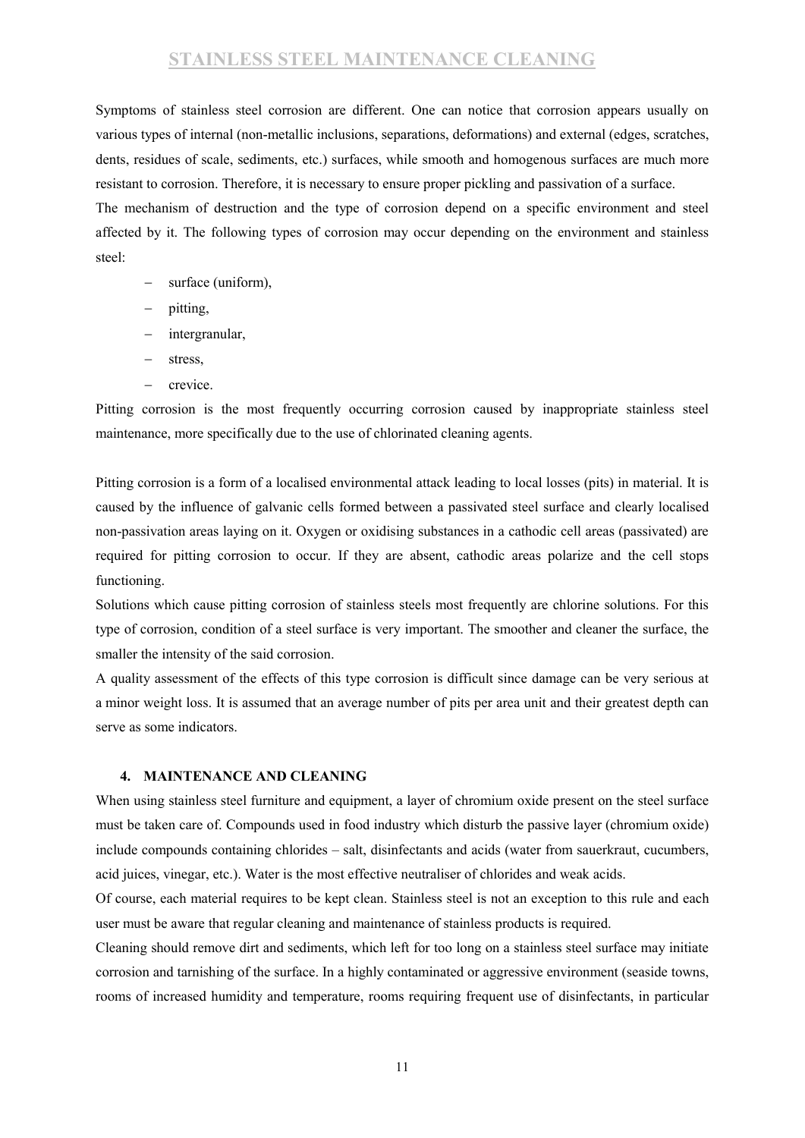# **STAINLESS STEEL MAINTENANCE CLEANING**

Symptoms of stainless steel corrosion are different. One can notice that corrosion appears usually on various types of internal (non-metallic inclusions, separations, deformations) and external (edges, scratches, dents, residues of scale, sediments, etc.) surfaces, while smooth and homogenous surfaces are much more resistant to corrosion. Therefore, it is necessary to ensure proper pickling and passivation of a surface.

The mechanism of destruction and the type of corrosion depend on a specific environment and steel affected by it. The following types of corrosion may occur depending on the environment and stainless steel:

- surface (uniform),
- pitting,
- intergranular,
- stress,
- $-$  crevice.

Pitting corrosion is the most frequently occurring corrosion caused by inappropriate stainless steel maintenance, more specifically due to the use of chlorinated cleaning agents.

Pitting corrosion is a form of a localised environmental attack leading to local losses (pits) in material. It is caused by the influence of galvanic cells formed between a passivated steel surface and clearly localised non-passivation areas laying on it. Oxygen or oxidising substances in a cathodic cell areas (passivated) are required for pitting corrosion to occur. If they are absent, cathodic areas polarize and the cell stops functioning.

Solutions which cause pitting corrosion of stainless steels most frequently are chlorine solutions. For this type of corrosion, condition of a steel surface is very important. The smoother and cleaner the surface, the smaller the intensity of the said corrosion.

A quality assessment of the effects of this type corrosion is difficult since damage can be very serious at a minor weight loss. It is assumed that an average number of pits per area unit and their greatest depth can serve as some indicators.

#### **4. MAINTENANCE AND CLEANING**

When using stainless steel furniture and equipment, a layer of chromium oxide present on the steel surface must be taken care of. Compounds used in food industry which disturb the passive layer (chromium oxide) include compounds containing chlorides – salt, disinfectants and acids (water from sauerkraut, cucumbers, acid juices, vinegar, etc.). Water is the most effective neutraliser of chlorides and weak acids.

Of course, each material requires to be kept clean. Stainless steel is not an exception to this rule and each user must be aware that regular cleaning and maintenance of stainless products is required.

Cleaning should remove dirt and sediments, which left for too long on a stainless steel surface may initiate corrosion and tarnishing of the surface. In a highly contaminated or aggressive environment (seaside towns, rooms of increased humidity and temperature, rooms requiring frequent use of disinfectants, in particular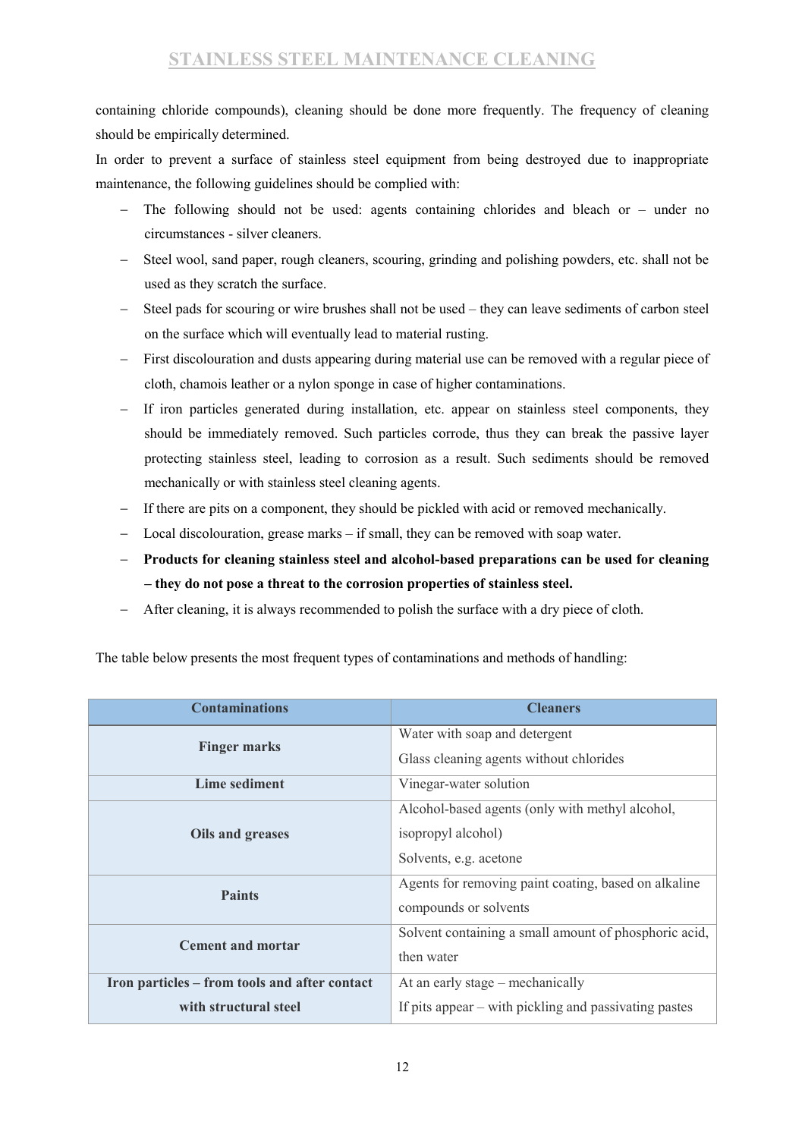containing chloride compounds), cleaning should be done more frequently. The frequency of cleaning should be empirically determined.

In order to prevent a surface of stainless steel equipment from being destroyed due to inappropriate maintenance, the following guidelines should be complied with:

- The following should not be used: agents containing chlorides and bleach or under no circumstances - silver cleaners.
- Steel wool, sand paper, rough cleaners, scouring, grinding and polishing powders, etc. shall not be used as they scratch the surface.
- Steel pads for scouring or wire brushes shall not be used they can leave sediments of carbon steel on the surface which will eventually lead to material rusting.
- First discolouration and dusts appearing during material use can be removed with a regular piece of cloth, chamois leather or a nylon sponge in case of higher contaminations.
- If iron particles generated during installation, etc. appear on stainless steel components, they should be immediately removed. Such particles corrode, thus they can break the passive layer protecting stainless steel, leading to corrosion as a result. Such sediments should be removed mechanically or with stainless steel cleaning agents.
- If there are pits on a component, they should be pickled with acid or removed mechanically.
- Local discolouration, grease marks if small, they can be removed with soap water.
- **Products for cleaning stainless steel and alcohol-based preparations can be used for cleaning – they do not pose a threat to the corrosion properties of stainless steel.**
- After cleaning, it is always recommended to polish the surface with a dry piece of cloth.

| <b>Contaminations</b>                         | <b>Cleaners</b>                                       |  |
|-----------------------------------------------|-------------------------------------------------------|--|
|                                               | Water with soap and detergent                         |  |
| <b>Finger marks</b>                           | Glass cleaning agents without chlorides               |  |
| Lime sediment                                 | Vinegar-water solution                                |  |
|                                               | Alcohol-based agents (only with methyl alcohol,       |  |
| Oils and greases                              | isopropyl alcohol)                                    |  |
|                                               | Solvents, e.g. acetone                                |  |
| <b>Paints</b>                                 | Agents for removing paint coating, based on alkaline  |  |
|                                               | compounds or solvents                                 |  |
| <b>Cement and mortar</b>                      | Solvent containing a small amount of phosphoric acid, |  |
|                                               | then water                                            |  |
| Iron particles – from tools and after contact | At an early stage – mechanically                      |  |
| with structural steel                         | If pits appear – with pickling and passivating pastes |  |

The table below presents the most frequent types of contaminations and methods of handling: